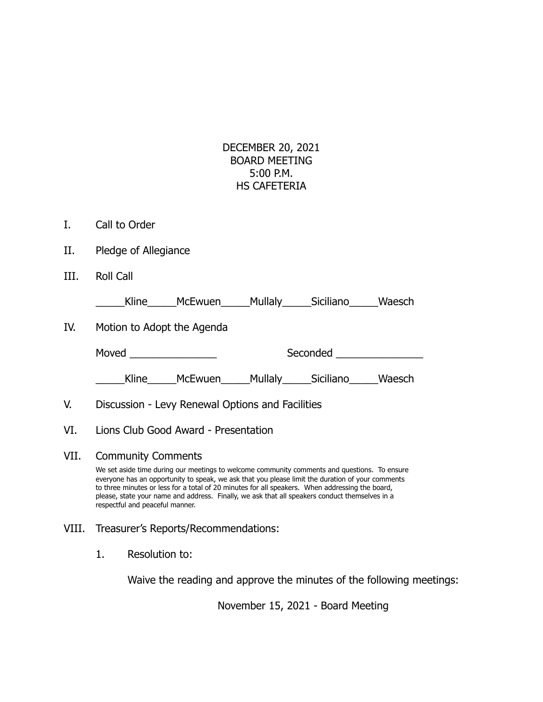## DECEMBER 20, 2021 BOARD MEETING 5:00 P.M. HS CAFETERIA

- I. Call to Order
- II. Pledge of Allegiance
- III. Roll Call

\_\_\_\_\_Kline\_\_\_\_\_McEwuen\_\_\_\_\_Mullaly\_\_\_\_\_Siciliano\_\_\_\_\_Waesch

IV. Motion to Adopt the Agenda

| Moved | Seconded |  |
|-------|----------|--|
|       |          |  |

\_\_\_\_\_Kline\_\_\_\_\_McEwuen\_\_\_\_\_Mullaly\_\_\_\_\_Siciliano\_\_\_\_\_Waesch

- V. Discussion Levy Renewal Options and Facilities
- VI. Lions Club Good Award Presentation
- VII. Community Comments

We set aside time during our meetings to welcome community comments and questions. To ensure everyone has an opportunity to speak, we ask that you please limit the duration of your comments to three minutes or less for a total of 20 minutes for all speakers. When addressing the board, please, state your name and address. Finally, we ask that all speakers conduct themselves in a respectful and peaceful manner.

- VIII. Treasurer's Reports/Recommendations:
	- 1. Resolution to:

Waive the reading and approve the minutes of the following meetings:

November 15, 2021 - Board Meeting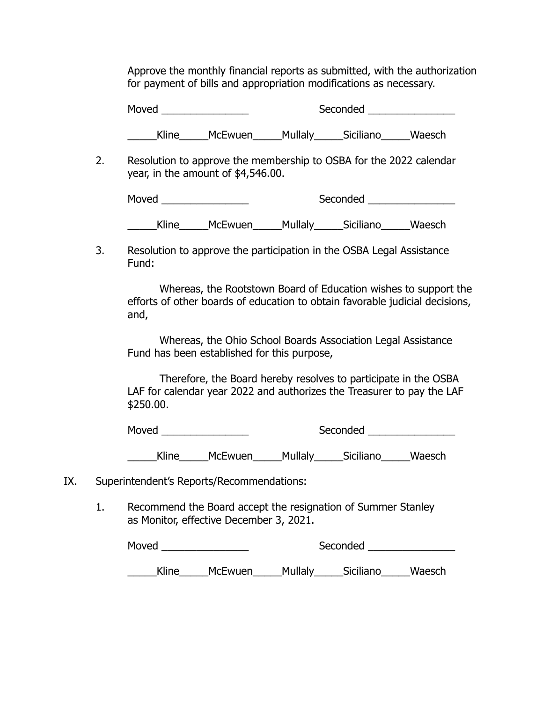Approve the monthly financial reports as submitted, with the authorization for payment of bills and appropriation modifications as necessary.

Moved \_\_\_\_\_\_\_\_\_\_\_\_\_\_\_ Seconded \_\_\_\_\_\_\_\_\_\_\_\_\_\_\_

\_\_\_\_\_Kline\_\_\_\_\_McEwuen\_\_\_\_\_Mullaly\_\_\_\_\_Siciliano\_\_\_\_\_Waesch

2. Resolution to approve the membership to OSBA for the 2022 calendar year, in the amount of \$4,546.00.

| Moved |                |         | Seconded  |        |
|-------|----------------|---------|-----------|--------|
| Kline | <b>McEwuen</b> | Mullaly | Siciliano | Waesch |

3. Resolution to approve the participation in the OSBA Legal Assistance Fund:

Whereas, the Rootstown Board of Education wishes to support the efforts of other boards of education to obtain favorable judicial decisions, and,

Whereas, the Ohio School Boards Association Legal Assistance Fund has been established for this purpose,

Therefore, the Board hereby resolves to participate in the OSBA LAF for calendar year 2022 and authorizes the Treasurer to pay the LAF \$250.00.

Moved \_\_\_\_\_\_\_\_\_\_\_\_\_\_\_ Seconded \_\_\_\_\_\_\_\_\_\_\_\_\_\_\_

Kline McEwuen Mullaly Siciliano Waesch

- IX. Superintendent's Reports/Recommendations:
	- 1. Recommend the Board accept the resignation of Summer Stanley as Monitor, effective December 3, 2021.

| Moved |                | Seconded |           |        |
|-------|----------------|----------|-----------|--------|
| Kline | <b>McEwuen</b> | Mullaly  | Siciliano | Waesch |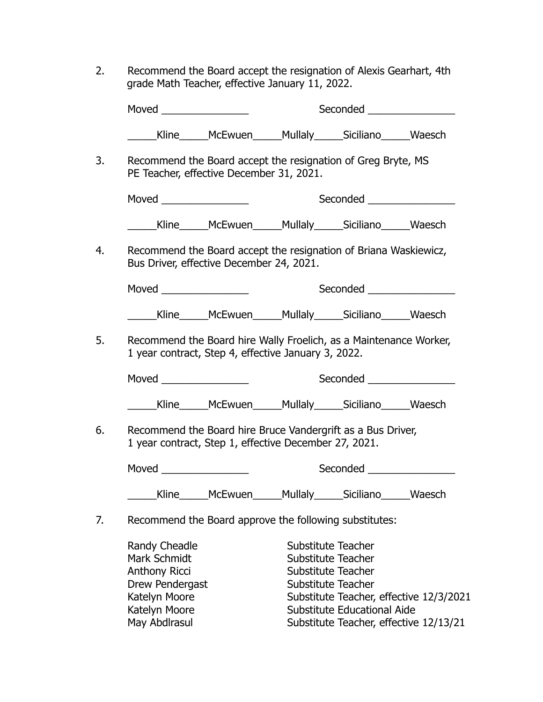2. Recommend the Board accept the resignation of Alexis Gearhart, 4th grade Math Teacher, effective January 11, 2022.

| Moved _________________ |                                                                                                                          |                                                       | Seconded <u>Seconded</u>     |  |  |
|-------------------------|--------------------------------------------------------------------------------------------------------------------------|-------------------------------------------------------|------------------------------|--|--|
|                         | _____Kline______McEwuen______Mullaly______Siciliano______Waesch                                                          |                                                       |                              |  |  |
|                         | Recommend the Board accept the resignation of Greg Bryte, MS<br>PE Teacher, effective December 31, 2021.                 |                                                       |                              |  |  |
|                         |                                                                                                                          |                                                       |                              |  |  |
|                         | _______Kline_______McEwuen______Mullaly______Siciliano_______Waesch                                                      |                                                       |                              |  |  |
|                         | Recommend the Board accept the resignation of Briana Waskiewicz,<br>Bus Driver, effective December 24, 2021.             |                                                       |                              |  |  |
|                         | Moved ____________________                                                                                               |                                                       | Seconded ___________________ |  |  |
|                         | ______Kline_______McEwuen______Mullaly______Siciliano______Waesch                                                        |                                                       |                              |  |  |
|                         | Recommend the Board hire Wally Froelich, as a Maintenance Worker,<br>1 year contract, Step 4, effective January 3, 2022. |                                                       | Seconded ________________    |  |  |
|                         |                                                                                                                          |                                                       |                              |  |  |
|                         | Recommend the Board hire Bruce Vandergrift as a Bus Driver,                                                              |                                                       |                              |  |  |
|                         |                                                                                                                          | 1 year contract, Step 1, effective December 27, 2021. |                              |  |  |
|                         |                                                                                                                          |                                                       | Seconded _________________   |  |  |
|                         | _____Kline______McEwuen______Mullaly______Siciliano______Waesch                                                          |                                                       |                              |  |  |
|                         | Recommend the Board approve the following substitutes:                                                                   |                                                       |                              |  |  |

Katelyn Moore Substitute Educational Aide<br>
May Abdlrasul Substitute Teacher, effective Substitute Teacher, effective 12/13/21

Substitute Teacher, effective 12/3/2021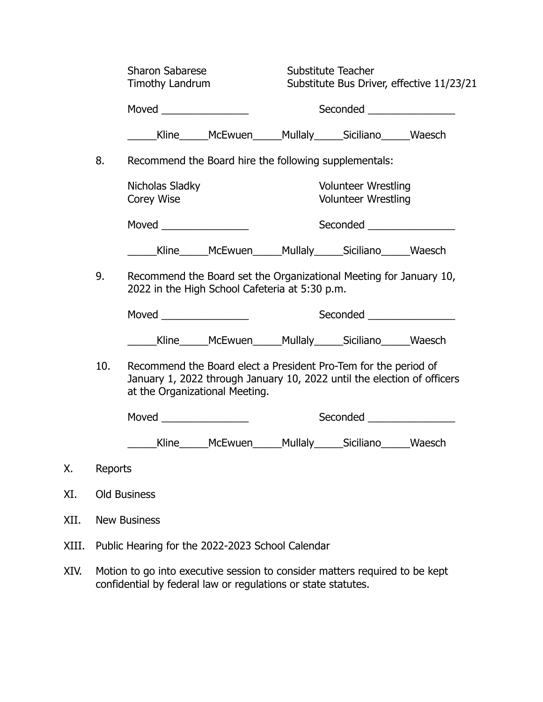|      |                                                                                                                                                                                     | <b>Sharon Sabarese</b><br>Timothy Landrum                                                                             |                                                                 | Substitute Teacher<br>Substitute Bus Driver, effective 11/23/21<br>Seconded ___________________ |  |  |
|------|-------------------------------------------------------------------------------------------------------------------------------------------------------------------------------------|-----------------------------------------------------------------------------------------------------------------------|-----------------------------------------------------------------|-------------------------------------------------------------------------------------------------|--|--|
|      |                                                                                                                                                                                     |                                                                                                                       |                                                                 |                                                                                                 |  |  |
|      |                                                                                                                                                                                     | ________Kline_______McEwuen_______Mullaly_______Siciliano_______Waesch                                                |                                                                 |                                                                                                 |  |  |
|      | 8.                                                                                                                                                                                  | Recommend the Board hire the following supplementals:                                                                 |                                                                 |                                                                                                 |  |  |
|      | Nicholas Sladky<br>Corey Wise                                                                                                                                                       |                                                                                                                       |                                                                 | <b>Volunteer Wrestling</b><br><b>Volunteer Wrestling</b>                                        |  |  |
|      | Moved                                                                                                                                                                               |                                                                                                                       |                                                                 | Seconded <u>Seconded</u>                                                                        |  |  |
|      |                                                                                                                                                                                     | _______Kline_______McEwuen_______Mullaly_______Siciliano_______Waesch                                                 |                                                                 |                                                                                                 |  |  |
|      | 9.                                                                                                                                                                                  | Recommend the Board set the Organizational Meeting for January 10,<br>2022 in the High School Cafeteria at 5:30 p.m.  |                                                                 |                                                                                                 |  |  |
|      |                                                                                                                                                                                     | Moved <b>Exercise Service Service</b> Service Service Service Service Service Service Service Service Service Service |                                                                 | Seconded ________________                                                                       |  |  |
|      |                                                                                                                                                                                     |                                                                                                                       | _____Kline______McEwuen______Mullaly______Siciliano______Waesch |                                                                                                 |  |  |
|      | 10.<br>Recommend the Board elect a President Pro-Tem for the period of<br>January 1, 2022 through January 10, 2022 until the election of officers<br>at the Organizational Meeting. |                                                                                                                       |                                                                 |                                                                                                 |  |  |
|      |                                                                                                                                                                                     | Moved __________________                                                                                              |                                                                 | Seconded __________________                                                                     |  |  |
|      |                                                                                                                                                                                     |                                                                                                                       | Kline______McEwuen______Mullaly______Siciliano______Waesch      |                                                                                                 |  |  |
| Χ.   | Reports                                                                                                                                                                             |                                                                                                                       |                                                                 |                                                                                                 |  |  |
| XI.  |                                                                                                                                                                                     | <b>Old Business</b>                                                                                                   |                                                                 |                                                                                                 |  |  |
| XII. | <b>New Business</b>                                                                                                                                                                 |                                                                                                                       |                                                                 |                                                                                                 |  |  |

- XIII. Public Hearing for the 2022-2023 School Calendar
- XIV. Motion to go into executive session to consider matters required to be kept confidential by federal law or regulations or state statutes.